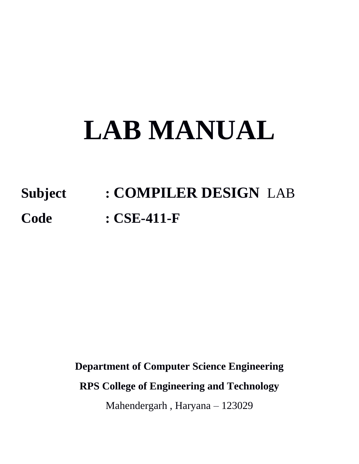# **LAB MANUAL**

# **Subject : COMPILER DESIGN** LAB **Code : CSE-411-F**

**Department of Computer Science Engineering**

**RPS College of Engineering and Technology** 

Mahendergarh , Haryana – 123029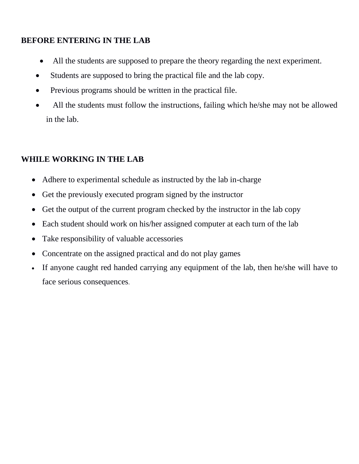#### **BEFORE ENTERING IN THE LAB**

- All the students are supposed to prepare the theory regarding the next experiment.
- Students are supposed to bring the practical file and the lab copy.
- Previous programs should be written in the practical file.
- All the students must follow the instructions, failing which he/she may not be allowed in the lab.

#### **WHILE WORKING IN THE LAB**

- Adhere to experimental schedule as instructed by the lab in-charge
- Get the previously executed program signed by the instructor
- Get the output of the current program checked by the instructor in the lab copy
- Each student should work on his/her assigned computer at each turn of the lab
- Take responsibility of valuable accessories
- Concentrate on the assigned practical and do not play games
- If anyone caught red handed carrying any equipment of the lab, then he/she will have to face serious consequences.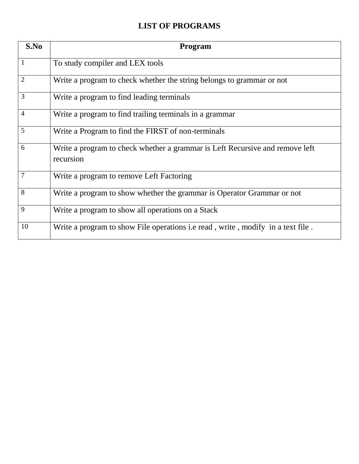#### **LIST OF PROGRAMS**

| S.No           | Program                                                                                   |
|----------------|-------------------------------------------------------------------------------------------|
|                | To study compiler and LEX tools                                                           |
| $\overline{2}$ | Write a program to check whether the string belongs to grammar or not                     |
| 3              | Write a program to find leading terminals                                                 |
| $\overline{4}$ | Write a program to find trailing terminals in a grammar                                   |
| 5              | Write a Program to find the FIRST of non-terminals                                        |
| 6              | Write a program to check whether a grammar is Left Recursive and remove left<br>recursion |
| 7              | Write a program to remove Left Factoring                                                  |
| 8              | Write a program to show whether the grammar is Operator Grammar or not                    |
| 9              | Write a program to show all operations on a Stack                                         |
| 10             | Write a program to show File operations <i>i.e</i> read, write, modify in a text file.    |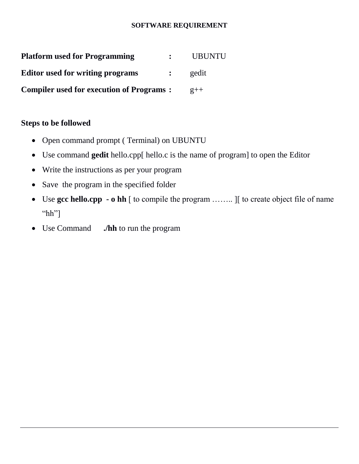#### **SOFTWARE REQUIREMENT**

| <b>Platform used for Programming</b>            | <b>UBUNTU</b> |
|-------------------------------------------------|---------------|
| <b>Editor used for writing programs</b>         | gedit         |
| <b>Compiler used for execution of Programs:</b> | $2++$         |

#### **Steps to be followed**

- Open command prompt (Terminal) on UBUNTU
- Use command **gedit** hello.cpp[ hello.c is the name of program] to open the Editor
- Write the instructions as per your program
- Save the program in the specified folder
- Use **gcc hello.cpp - o hh** [ to compile the program …….. ][ to create object file of name "hh"]
- Use Command **./hh** to run the program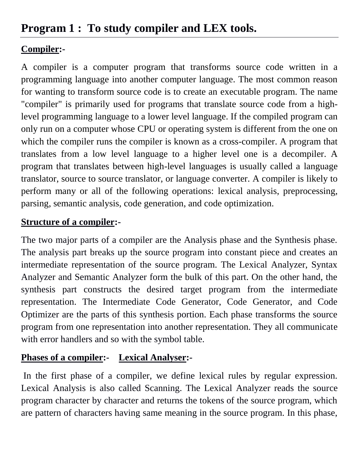# **Program 1 : To study compiler and LEX tools.**

#### **Compiler:-**

A compiler is a [computer program](http://en.wikipedia.org/wiki/Computer_program) that transforms [source code](http://en.wikipedia.org/wiki/Source_code) written in a [programming language](http://en.wikipedia.org/wiki/Programming_language) into another computer language. The most common reason for wanting to transform source code is to create an [executable](http://en.wikipedia.org/wiki/Executable) program. The name "compiler" is primarily used for programs that translate source code from a [high](http://en.wikipedia.org/wiki/High-level_programming_language)[level programming language](http://en.wikipedia.org/wiki/High-level_programming_language) to a lower level language. If the compiled program can only run on a computer whose [CPU](http://en.wikipedia.org/wiki/CPU) or [operating system](http://en.wikipedia.org/wiki/Operating_system) is different from the one on which the compiler runs the compiler is known as a cross-compiler. A program that translates from a low level language to a higher level one is a [decompiler.](http://en.wikipedia.org/wiki/Decompiler) A program that translates between high-level languages is usually called a [language](http://en.wikipedia.org/wiki/Translator_(computing))  [translator,](http://en.wikipedia.org/wiki/Translator_(computing)) source to source translator, or language converter. A compiler is likely to perform many or all of the following operations: [lexical analysis,](http://en.wikipedia.org/wiki/Lexical_analysis) [preprocessing,](http://en.wikipedia.org/wiki/Preprocessing) [parsing,](http://en.wikipedia.org/wiki/Parsing) semantic analysis, [code generation,](http://en.wikipedia.org/wiki/Code_generation_(compiler)) and [code optimization.](http://en.wikipedia.org/wiki/Code_optimization)

#### **Structure of a compiler:-**

The two major parts of a compiler are the Analysis phase and the Synthesis phase. The analysis part breaks up the source program into constant piece and creates an intermediate representation of the source program. The Lexical Analyzer, Syntax Analyzer and Semantic Analyzer form the bulk of this part. On the other hand, the synthesis part constructs the desired target program from the intermediate representation. The Intermediate Code Generator, Code Generator, and Code Optimizer are the parts of this synthesis portion. Each phase transforms the source program from one representation into another representation. They all communicate with error handlers and so with the symbol table.

### **Phases of a compiler:- Lexical Analyser:-**

In the first phase of a compiler, we define lexical rules by regular expression. Lexical Analysis is also called Scanning. The Lexical Analyzer reads the source program character by character and returns the tokens of the source program, which are pattern of characters having same meaning in the source program. In this phase,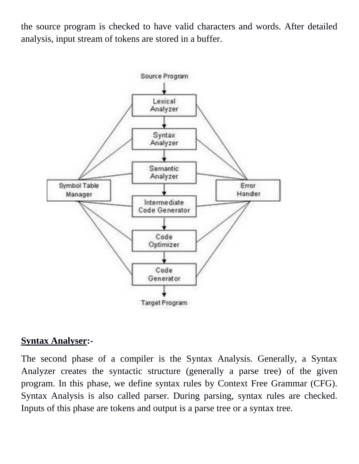the source program is checked to have valid characters and words. After detailed analysis, input stream of tokens are stored in a buffer.



#### **Syntax Analyser:-**

The second phase of a compiler is the Syntax Analysis. Generally, a Syntax Analyzer creates the syntactic structure (generally a parse tree) of the given program. In this phase, we define syntax rules by Context Free Grammar (CFG). Syntax Analysis is also called parser. During parsing, syntax rules are checked. Inputs of this phase are tokens and output is a parse tree or a syntax tree.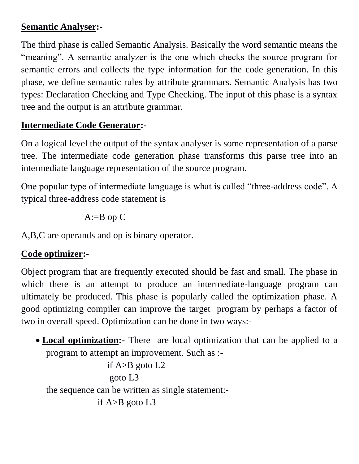#### **Semantic Analyser:-**

The third phase is called Semantic Analysis. Basically the word semantic means the "meaning". A semantic analyzer is the one which checks the source program for semantic errors and collects the type information for the code generation. In this phase, we define semantic rules by attribute grammars. Semantic Analysis has two types: Declaration Checking and Type Checking. The input of this phase is a syntax tree and the output is an attribute grammar.

#### **Intermediate Code Generator:-**

On a logical level the output of the syntax analyser is some representation of a parse tree. The intermediate code generation phase transforms this parse tree into an intermediate language representation of the source program.

One popular type of intermediate language is what is called "three-address code". A typical three-address code statement is

 $A:=B$  op  $C$ 

A,B,C are operands and op is binary operator.

#### **Code optimizer:-**

Object program that are frequently executed should be fast and small. The phase in which there is an attempt to produce an intermediate-language program can ultimately be produced. This phase is popularly called the optimization phase. A good optimizing compiler can improve the target program by perhaps a factor of two in overall speed. Optimization can be done in two ways:-

 **Local optimization:-** Thereare local optimization that can be applied to a program to attempt an improvement. Such as :-

```
if A > B goto L2 goto L3
the sequence can be written as single statement:-
             if A > B goto L3
```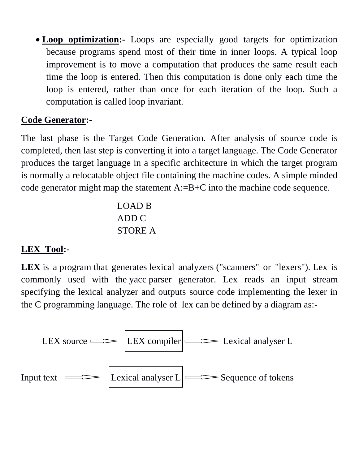**Loop optimization:-** Loops are especially good targets for optimization because programs spend most of their time in inner loops. A typical loop improvement is to move a computation that produces the same result each time the loop is entered. Then this computation is done only each time the loop is entered, rather than once for each iteration of the loop. Such a computation is called loop invariant.

#### **Code Generator:-**

The last phase is the Target Code Generation. After analysis of source code is completed, then last step is converting it into a target language. The Code Generator produces the target language in a specific architecture in which the target program is normally a relocatable object file containing the machine codes. A simple minded code generator might map the statement A:=B+C into the machine code sequence.

> LOAD B ADD C STORE A

#### **LEX Tool:-**

LEX is a program that generates lexical analyzers ("scanners" or "lexers"). Lex is commonly used with the [yacc](http://en.wikipedia.org/wiki/Yacc) parser generator. Lex reads an input [stream](http://en.wikipedia.org/wiki/Stream_(computing)) specifying the lexical analyzer and outputs [source code](http://en.wikipedia.org/wiki/Source_code) implementing the lexer in the [C programming language.](http://en.wikipedia.org/wiki/C_(programming_language)) The role of lex can be defined by a diagram as:-

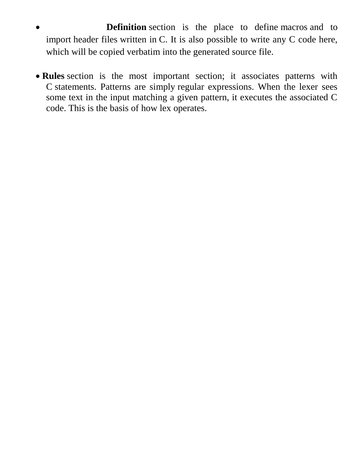- **Definition** section is the place to define macros and to import header files written in C. It is also possible to write any C code here, which will be copied verbatim into the generated source file.
- **Rules** section is the most important section; it associates patterns with C statements. Patterns are simply regular expressions. When the lexer sees some text in the input matching a given pattern, it executes the associated C code. This is the basis of how lex operates.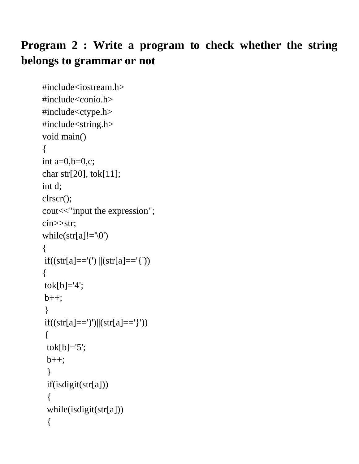# **Program 2 : Write a program to check whether the string belongs to grammar or not**

```
#include<iostream.h>
#include<conio.h>
#include<ctype.h>
#include<string.h>
void main()
{
int a=0,b=0,c;char str[20], tok[11];
int d;
clrscr();
cout << "input the expression";
cin>>str;
while(str[a]!='\0')
{
if((str[a] == '') || (str[a] == '')){
tok[b]='4';
b++;}
if((str[a] == ')')||(str[a] == '})'){
 tok[b]=5;
 b++; }
  if(isdigit(str[a]))
  {
  while(isdigit(str[a]))
  {
```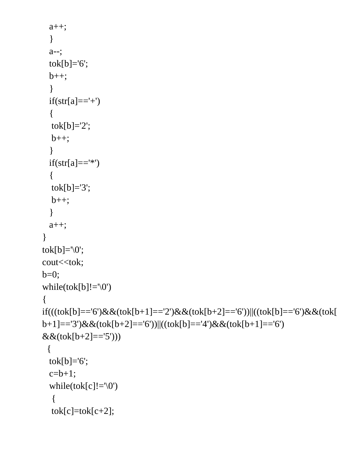```
 a++;
   }
   a--;
  tok[b]='6';
 b++; }
 if(str[a] ==' +') {
  tok[b]=2;
  b++:
   }
 if(str[a] =='') {
  tok[b]='3';b++:
   }
   a++;
}
tok[b]='\0';
cout<<tok;
b=0;
while(tok[b]!=\Diamond0')
{
if(((tok[b]=='6')&&(tok[b+1]=='2')&&(tok[b+2]=='6'))||((tok[b]=='6')&&(tok[
b+1]=='3')&&(tok[b+2]=='6'))||((tok[b]=='4')&&(tok[b+1]=='6') 
&&(tok[b+2]=='5')))
  {
 tok[b]='6';
 c=b+1;
  while(tok[c]!=\sqrt{0})
   {
  tok[c]=tok[c+2];
```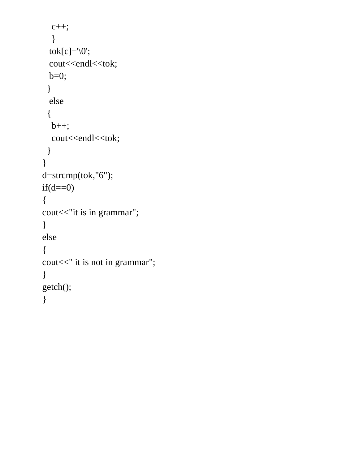```
c++; }
 tok[c]=\sqrt{0};
 cout<<endl<<tok;
  b=0;
  }
  else
  {
  b++;cout<<endl<<tok;
  }
}
d=strcmp(tok,"6");
if(d==0){
cout << "it is in grammar";
}
else
{
cout << " it is not in grammar";
}
getch();
}
```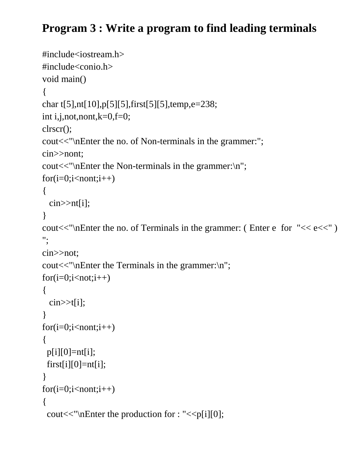# **Program 3 : Write a program to find leading terminals**

```
#include<iostream.h>
#include<conio.h>
void main()
{
char t[5],nt[10],p[5][5],first[5][5],temp,e=238;
int i,j,not,nont,k=0,f=0;
clrscr();
cout<<"\nEnter the no. of Non-terminals in the grammer:";
cin>>nont;
cout<<"\nEnter the Non-terminals in the grammer:\n";
for(i=0;i<non;i++){
  \text{cin} \geq \text{nt[i]};
}
cout << "\nEnter the no. of Terminals in the grammer: ( Enter e for "<< e \ll 1")
";
cin>>not;
cout<<"\nEnter the Terminals in the grammer:\n";
for(i=0;i< not;i++){
  \text{cin}>>t[i];}
for(i=0;i<non;i++){
 p[i][0] = nt[i];first[i][0]=nt[i];}
for(i=0;i<non;i++){
 cout \langle \mathbf{m} \rangle cout \langle \mathbf{m} \rangle for : "\langle \mathbf{m} \rangle is [0];
```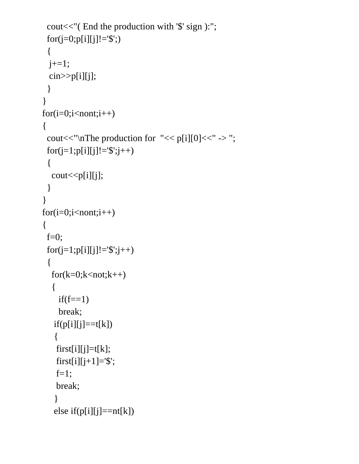```
 cout<<"( End the production with '$' sign ):";
  for(j=0;p[i][j]!='$';)
  {
 j+=1; cin>>p[i][j];
  }
}
for(i=0;i<non;i++){
 cout << "\nThe production for "\lt p[i][0]\lt" -> ";
 for (j=1;p[i][j] != '\$';j++)\{cout << p[i][j];
  }
}
for(i=0;i<non;i++){
 f=0;for (j=1;p[i][j] != '\$';j++) {
  for(k=0;k<not;k++) {
    if(f==1) break;
   if(p[i][j]==t[k]) {
    first[i][j]=t[k];first[i][j+1]='$';
   f=1;
     break;
    }
   else if(p[i][j] == nt[k])
```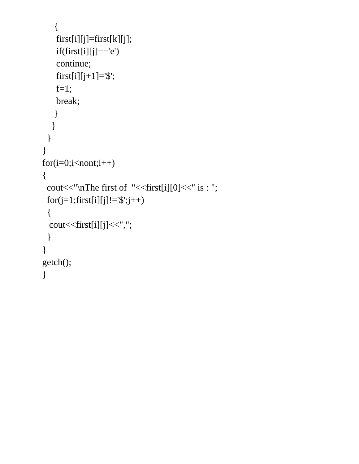```
 {
     first[i][j]=first[k][j];
    if(first[i][j] == 'e') continue;
    first[i][j+1]='$';
    f=1; break;
     }
 }
 }
}
for(i=0;i<non;i++){
 cout << "\nterta first of "<< first[i][0] << " is : ";
 for (j=1; first[i][j] != '\$'; j++) {
  cout<<first[i][j]<<",";
  }
}
getch();
}
```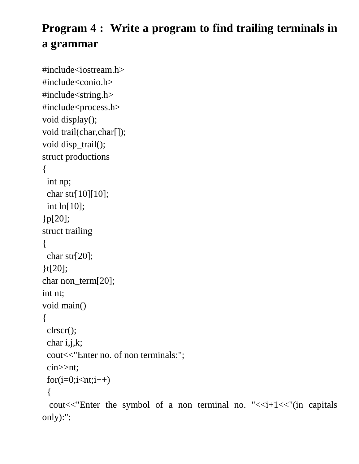# **Program 4 : Write a program to find trailing terminals in a grammar**

```
#include<iostream.h>
#include<conio.h>
#include<string.h>
#include<process.h>
void display();
void trail(char,char[]);
void disp trail();
struct productions
{
  int np;
  char str[10][10];
  int ln[10];
}p[20];
struct trailing
{
  char str[20];
}t[20];
char non_term[20];
int nt;
void main()
{
  clrscr();
  char i,j,k;
  cout<<"Enter no. of non terminals:";
  cin>>nt;
 for(i=0;i< n:t;i++)\{cout << "Enter the symbol of a non terminal no. "\lt i+1\lt "(in capitals
```
only):";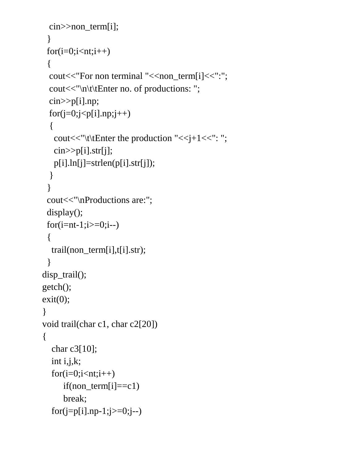```
cin >> non term[i];
  }
 for(i=0;i< n:t;i++) {
  cout<<"For non terminal "<<non_term[i]<<":";
  cout<<"\n\t\tEnter no. of productions: ";
   cin>>p[i].np;
 for(j=0;j< p[i].np;j++) {
   cout << "\t\text{tEnter the production "<<i+1<<": ";
   \text{cin} \geq \text{p[i].str[i]}; p[i].ln[j]=strlen(p[i].str[j]);
   }
  }
 cout << "\nProductions are:";
 display();
 for(i=nt-1;i>=0;i--)
 \{ trail(non_term[i],t[i].str);
  }
disp_trail();
getch();
exit(0);}
void trail(char c1, char c2[20])
{
   char c3[10];
   int i,j,k;
  for(i=0;i< n:t;i++)if (non\_term[i]=c1)break;
  for(j=p[i].np-1;j>=0;j--)
```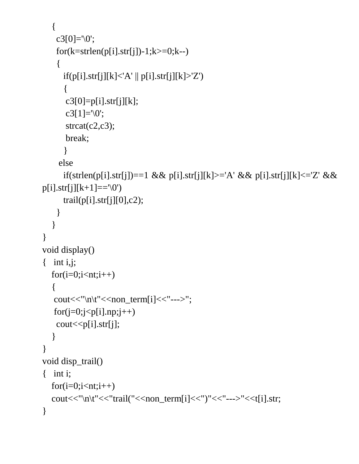```
 {
    c3[0]=\0;
    for(k=stream(p[i].str[j])-1;k>=0;k--)\{if(p[i].str[j][k]<'A' || p[i].str[j][k]>'Z')
       \{c3[0]=p[i].str[j][k];
       c3[1]=\sqrt{0};
       strcat(c2,c3);
       break;
       }
      else
      if(strlen(p[i].str[j])==1 && p[i].str[j][k]>='A' && p[i].str[j][k]<='Z' && 
p[i].str[j][k+1] == \0')trail(p[i].str[i][0],c2); }
 }
}
void display()
\{ int i, j;
   for(i=0;i< n:t;i++) {
   \text{cout}<<"\n\text{n}\t'<<\n\text{non-term}[i]<<\n'---\n>";for(j=0;j< p[i].np;j++)\text{cout} \leq \text{p[i].str[j];} }
}
void disp trail()
{ int i;
  for(i=0;i<nt;i++)cout << "\n\t" << "trail(" << \conterm[i] << ")" << \conterm[i] << \conterm[i].str;
}
```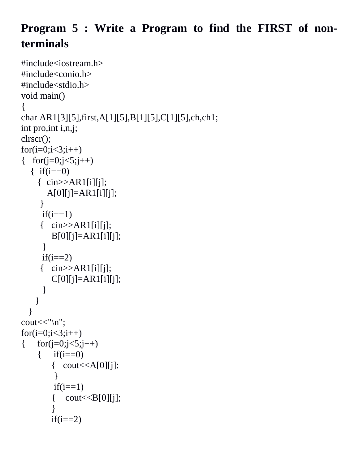# **Program 5 : Write a Program to find the FIRST of nonterminals**

```
#include<iostream.h>
#include<conio.h>
#include<stdio.h>
void main()
{
char AR1[3][5],first,A[1][5],B[1][5],C[1][5],ch,ch1;
int pro,int i,n,j;
clrscr();
for(i=0; i<3; i++){ for(j=0;j<5;j++){ if(i == 0) { cin>>AR1[i][j];
        A[0][j]=AR1[i][j];
       }
      if(i==1)\{ cin>>AR1[i][i];B[0][j] = AR1[i][j];}
      if(i==2)\{ \quad \text{cin} \rightarrow \text{AR1[i][j]}; \quadC[0][j]=AR1[i][j];}
     }
   }
cout<<"\n";
for(i=0; i<3; i++){ for(j=0; j<5; j++){ if(i == 0){ \text{cout} \ll A[0][j]; }
         if(i==1){ \text{cout} \leq B[0][j]; }
         if(i==2)
```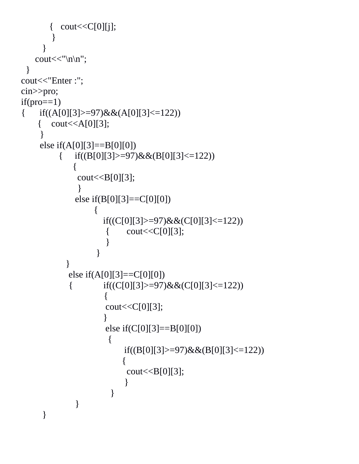```
{ \text{cout}<<C[0][j]; }
      }
   cout << "\ln";
  }
cout<<"Enter :";
cin>>pro;
if(pro==1){if((A[0][3]>=97) \&\& (A[0][3]<=122)){ \text{cout} \leq A[0][3]; }
    else if(A[0][3] == B[0][0])
         { if((B[0][3]>=97) & \& (B[0][3]<=122))
\{cout<<B[0][3];
           }
             else if(B[0][3] == C[0][0])
          \{if((C[0][3]>=97)&&(C[0][3]<=122))
                     { \text{cout}<<C[0][3];}
                    }
           }
           else if(A[0][3]==C[0][0])
            { if((C[0][3] > 97) \&amp; \&amp; (C[0][3] < 122))\{\text{cout} \ll \text{C[0][3]};
                 }
                     else if(C[0][3] == B[0][0])
                      {
                         if((B[0][3]>=97)&&(B[0][3]<=122))
                          {
                          \text{cout} \leq B[0][3]; }
                       }
              }
     }
```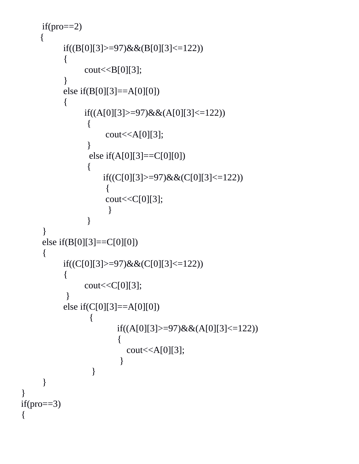```
if(pro==2) {
            if((B[0][3]>=97)&&(B[0][3]<=122))
             {
                   \text{cout} \leq \text{B[0][3]};
             }
            else if(B[0][3]==A[0][0])
\{if((A[0][3]>=97)&&(A[0][3]<=122))
                    {
                         \text{cout} \leq A[0][3];}
                     else if(A[0][3]==C[0][0])
                    \{if((C[0][3]>=97)&&(C[0][3]<=122))
                   \left\{\begin{array}{c} \end{array}\right\}\text{cout} \ll \text{C[0][3]};
                    }
                     }
      }
      else if(B[0][3]==C[0][0])
\left\{\begin{array}{ccc} \end{array}\right\}if((C[0][3]>=97)&&(C[0][3]<=122))
             \{cout<<C[0][3];
             }
            else if(C[0][3]==A[0][0])
\{if((A[0][3]>=97)&&(A[0][3]<=122))
                   \{\text{cout} \leq A[0][3]; }
                      }
      }
if(pro==3)
```
}

{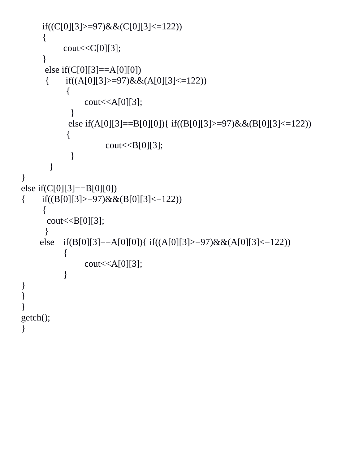```
if((C[0][3]> = 97)&&(C[0][3]\lt = 122))
      {
           cout<<C[0][3];
      }
      else if(C[0][3] == A[0][0])
      { if((A[0][3]>=97) \&\& (A[0][3]<=122)) {
                 \text{cout} \leq A[0][3]; }
             else if(A[0][3]==B[0][0]){ if((B[0][3]>=97)&&(B[0][3]<=122))
            {
                       \text{cout} \leq B[0][3]; }
         }
}
else if(C[0][3] == B[0][0])
{ if((B[0][3]>=97)&&(B[0][3]<=122))
       {
       \text{cout} \leq B[0][3]; }
     else if(B[0][3]==A[0][0]){ if((A[0][3]>=97)&&(A[0][3]<=122))
\{\text{cout} \leq A[0][3];}
}
}
}
getch();
}
```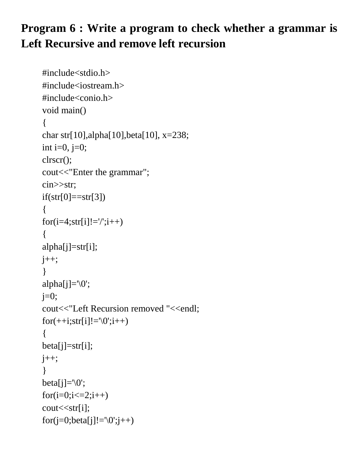# **Program 6 : Write a program to check whether a grammar is Left Recursive and remove left recursion**

```
#include<stdio.h>
#include<iostream.h>
#include<conio.h>
void main()
{
char str[10],alpha[10],beta[10], x=238;
int i=0, j=0;
clrscr();
cout<<"Enter the grammar";
cin>>str;
if(str[0]=str[3]){
for(i=4;str[i]!=\frac{\prime}{;i++)}{
alpha[j]=str[i];
j_{++};
}
alpha[j] = \{0\};
j=0;cout<<"Left Recursion removed "<<endl;
for(++i;str[i]!='\0';i++)
{
beta[j]=str[i];
j_{++};
}
beta[j]=\sqrt{0};
for(i=0;i<=2;i++)cout << str[i];
for(j=0;beta[j]!='\0';j++)
```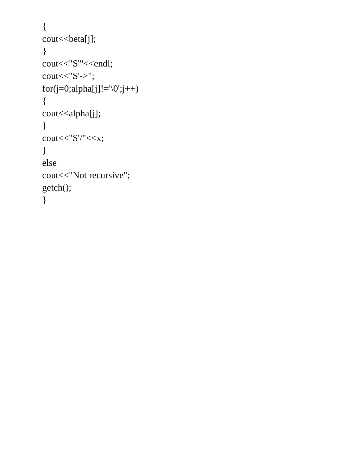```
{
cout << beta[j];
}
cout<<"S"'<<endl;
\text{cout}<< "S'>>";for (j=0; alpha[j] != '0'; j++){
cout<<alpha[j];
}
\text{cout}<< "S'}/<<x;}
else
cout << "Not recursive";
getch();
}
```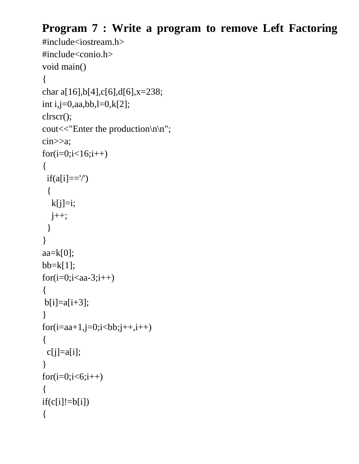## **Program 7 : Write a program to remove Left Factoring**

```
#include<iostream.h>
#include<conio.h>
void main()
{
char a[16],b[4],c[6],d[6],x=238;
int i,j=0,aa,bb,l=0,k[2];
clrscr();
cout << "Enter the production\n\n";
cin>>a;
for(i=0; i<16; i++){
  if(a[i]=='/')
  {
  k[j]=i;j_{++};
  }
}
aa=k[0];bb=k[1];
for(i=0;i<aa-3;i++){
b[i]=a[i+3];
}
for(i=aa+1,j=0;i<b>bb</b>; j++, i++){
 c[j]=a[i];}
for(i=0;i<6;i++){
if(c[i]!=b[i])\{
```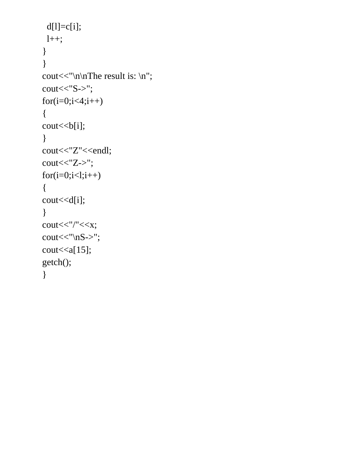```
d[1]=c[i]; l++;
}
}
cout << "\n\ranglen\Gammahe result is: \n\ranglen";
\text{cout}<< "S->";for(i=0; i<4; i++){
cout << b[i];
}
cout<<"Z"<<endl;
\text{cout}<< "Z->";for(i=0;i<1;i++){
cout<<d[i];
}
\text{cout}<<\!\!''/"<<\!\!x;
\text{cout}<< \text{"nS->"};
\text{cout} \leq \text{a[15]};
getch();
}
```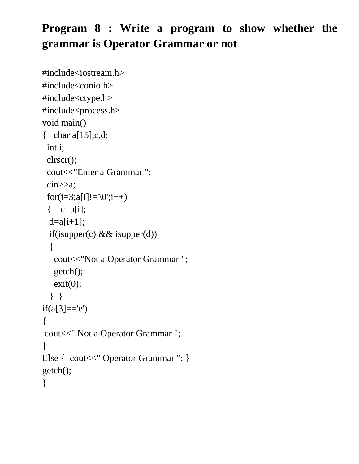# **Program 8 : Write a program to show whether the grammar is Operator Grammar or not**

```
#include<iostream.h>
#include<conio.h>
#include<ctype.h>
#include<process.h>
void main()
\{ char a[15], c, d;
  int i;
  clrscr();
  cout<<"Enter a Grammar ";
  cin>>a;
 for(i=3;a[i]!='\0';i++)
 \{ c=a[i];
 d=a[i+1];
 if(isupper(c) & & isupper(d))
   {
   cout << "Not a Operator Grammar";
   getch();
   exit(0); } }
if(a[3]=='e'){
cout<<" Not a Operator Grammar ";
}
Else { cout<<" Operator Grammar "; }
getch(); 
}
```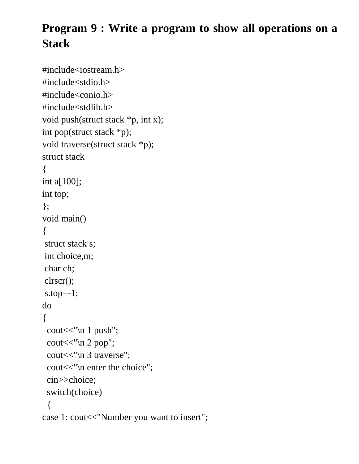# **Program 9 : Write a program to show all operations on a Stack**

```
#include<iostream.h>
#include<stdio.h>
#include<conio.h>
#include<stdlib.h>
void push(struct stack *p, int x);
int pop(struct stack *p);
void traverse(struct stack *p);
struct stack
{
int a[100];
int top;
};
void main()
{
struct stack s;
int choice,m;
char ch;
clrscr();
s.top=-1;
do
{
 cout << "\n 1 push";
 cout << "\n 2 pop";
  cout<<"\n 3 traverse";
 cout << "\n enter the choice";
  cin>>choice;
  switch(choice)
 { 
case 1: cout<<"Number you want to insert";
```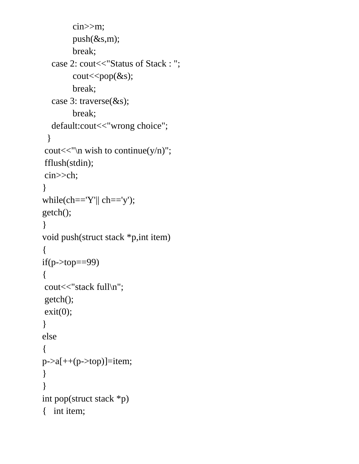```
 cin>>m;
         push(&s,m);
         break;
  case 2: cout << "Status of Stack : ";
        \text{cout} \ll \text{pop}(\&\text{s});
         break;
   case 3: traverse(&s);
         break;
   default:cout<<"wrong choice";
  }
cout<<"'<sub>n</sub> wish to continue(y/n)";
fflush(stdin);
cin>>ch;
}
while(ch=='Y''|| ch=='y');
getch();
}
void push(struct stack *p,int item)
{
if(p>top==99){
cout << "stack full\n";
getch();
exit(0);}
else
{
p->a[++(p->top)]=item;
}
}
int pop(struct stack *p)
{ int item;
```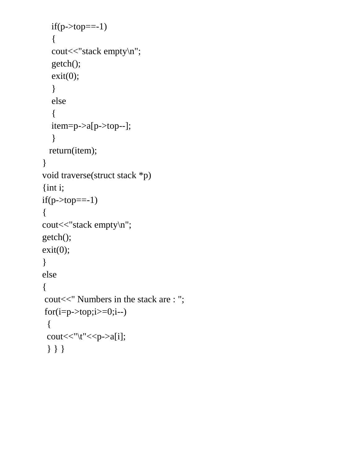```
if(p>top==-1) {
  cout<<"stack empty\n";
   getch();
  exit(0); }
   else
   {
   item=p->a[p->top--];
    }
   return(item);
}
void traverse(struct stack *p)
{int i;
if(p>top==-1){
cout<<"stack empty\n";
getch();
exit(0);}
else
{
cout<<" Numbers in the stack are : ";
for(i=p->top;i>=0;i--)
  {
 \text{cout}<<"\backslash t''<<p&gt;a[i]; } } }
```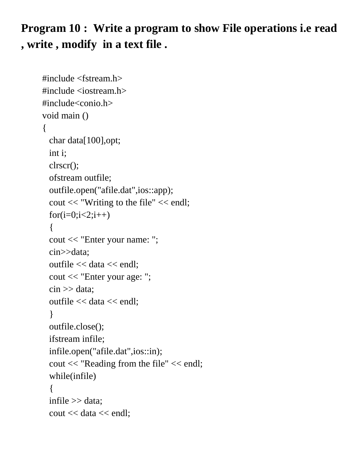**Program 10 : Write a program to show File operations i.e read , write , modify in a text file .**

```
#include <fstream.h>
\#include \ltiostream.h>#include<conio.h>
void main ()
{
  char data[100],opt;
  int i;
   clrscr();
   ofstream outfile;
   outfile.open("afile.dat",ios::app);
   cout << "Writing to the file" << endl;
  for(i=0; i<2; i++) {
   cout << "Enter your name: ";
   cin>>data;
   outfile << data << endl;
   cout << "Enter your age: ";
  \sin \gg data;
   outfile << data << endl;
   }
   outfile.close();
  ifstream infile;
   infile.open("afile.dat",ios::in);
   cout << "Reading from the file" << endl;
   while(infile)
   {
   infile >> data;
   cout << data << endl;
```